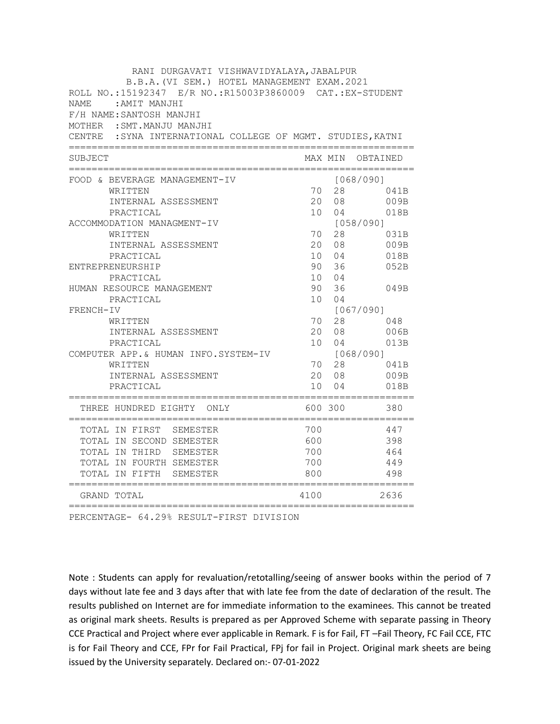| RANI DURGAVATI VISHWAVIDYALAYA, JABALPUR                                                                 |                    |                |                                   |
|----------------------------------------------------------------------------------------------------------|--------------------|----------------|-----------------------------------|
| B.B.A. (VI SEM.) HOTEL MANAGEMENT EXAM. 2021<br>ROLL NO.:15192347 E/R NO.:R15003P3860009 CAT.:EX-STUDENT |                    |                |                                   |
| <b>NAME</b><br>: AMIT MANJHI                                                                             |                    |                |                                   |
| F/H NAME: SANTOSH MANJHI                                                                                 |                    |                |                                   |
| MOTHER : SMT. MANJU MANJHI                                                                               |                    |                |                                   |
| CENTRE : SYNA INTERNATIONAL COLLEGE OF MGMT. STUDIES, KATNI                                              |                    |                |                                   |
|                                                                                                          |                    |                |                                   |
| SUBJECT                                                                                                  |                    | MAX MIN        | OBTAINED                          |
| FOOD & BEVERAGE MANAGEMENT-IV                                                                            |                    |                | [068/090]                         |
| WRITTEN                                                                                                  | 70                 | 28             | 041B                              |
| INTERNAL ASSESSMENT                                                                                      | 20                 | 08             | 009B                              |
| PRACTICAL                                                                                                | 10 <sup>°</sup>    | 04             | 018B                              |
| ACCOMMODATION MANAGMENT-IV                                                                               |                    |                | [058/090]                         |
| WRITTEN                                                                                                  | 70                 | 28             | 031B                              |
| INTERNAL ASSESSMENT                                                                                      | 20 <sub>o</sub>    | 08             | 009B                              |
| PRACTICAL                                                                                                | 10                 | 04             | 018B                              |
| ENTREPRENEURSHIP                                                                                         | 90                 | 36             | 052B                              |
| PRACTICAL                                                                                                | 10 <sup>1</sup>    | 0 <sub>4</sub> |                                   |
| HUMAN RESOURCE MANAGEMENT                                                                                | 90                 | 36             | 049B                              |
| PRACTICAL                                                                                                | 10                 | 04             |                                   |
| FRENCH-IV                                                                                                | 70                 | 28             | [067/090]<br>048                  |
| WRITTEN<br>INTERNAL ASSESSMENT                                                                           | 20                 | 08             | 006B                              |
| PRACTICAL                                                                                                | 10                 | 04             | 013B                              |
| COMPUTER APP.& HUMAN INFO.SYSTEM-IV                                                                      |                    |                | [068/090]                         |
| WRITTEN                                                                                                  | 70                 | 28             | 041B                              |
| INTERNAL ASSESSMENT                                                                                      | 20                 | 08             | 009B                              |
| PRACTICAL                                                                                                | 10                 | 0 <sub>4</sub> | 018B                              |
| ============================<br>THREE HUNDRED EIGHTY ONLY                                                |                    | 600 300        | .=========================<br>380 |
| TOTAL IN FIRST SEMESTER                                                                                  | 700                |                | 447                               |
| TOTAL IN SECOND SEMESTER                                                                                 | 600                |                | 398                               |
| TOTAL IN THIRD<br>SEMESTER                                                                               | 700                |                | 464                               |
| TOTAL IN FOURTH SEMESTER                                                                                 | 700                |                | 449                               |
| TOTAL IN FIFTH<br>SEMESTER                                                                               | 800                |                | 498                               |
| GRAND TOTAL<br>.============================                                                             | 4100<br>========== |                | 2636                              |

PERCENTAGE- 64.29% RESULT-FIRST DIVISION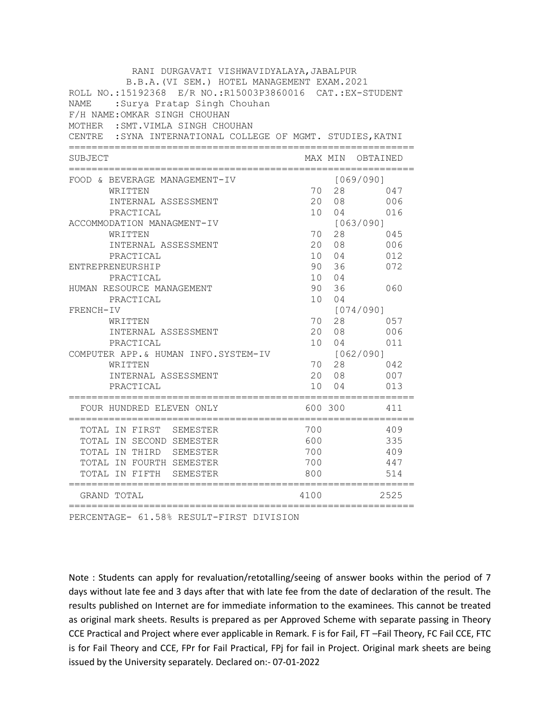| RANI DURGAVATI VISHWAVIDYALAYA, JABALPUR<br>B.B.A. (VI SEM.) HOTEL MANAGEMENT EXAM. 2021<br>ROLL NO.:15192368 E/R NO.:R15003P3860016 CAT.:EX-STUDENT<br>:Surya Pratap Singh Chouhan<br>NAME<br>F/H NAME: OMKAR SINGH CHOUHAN<br>MOTHER : SMT. VIMLA SINGH CHOUHAN<br>CENTRE : SYNA INTERNATIONAL COLLEGE OF MGMT. STUDIES, KATNI |                                   |                                  |                                       |
|----------------------------------------------------------------------------------------------------------------------------------------------------------------------------------------------------------------------------------------------------------------------------------------------------------------------------------|-----------------------------------|----------------------------------|---------------------------------------|
| SUBJECT                                                                                                                                                                                                                                                                                                                          |                                   |                                  | MAX MIN OBTAINED                      |
| FOOD & BEVERAGE MANAGEMENT-IV<br>WRITTEN<br>INTERNAL ASSESSMENT<br>PRACTICAL                                                                                                                                                                                                                                                     | 70<br>20<br>10 <sup>1</sup>       | 28<br>08<br>04                   | [069/090]<br>047<br>006<br>016        |
| ACCOMMODATION MANAGMENT-IV<br>WRITTEN<br>INTERNAL ASSESSMENT<br>PRACTICAL                                                                                                                                                                                                                                                        | 70<br>20<br>10 <sup>1</sup>       | 28<br>08<br>04                   | [063/090]<br>045<br>006<br>012        |
| ENTREPRENEURSHIP<br>PRACTICAL<br>HUMAN RESOURCE MANAGEMENT                                                                                                                                                                                                                                                                       | 90<br>10<br>90                    | 36<br>04<br>36                   | 072<br>060                            |
| PRACTICAL<br>FRENCH-IV<br>WRITTEN<br>INTERNAL ASSESSMENT                                                                                                                                                                                                                                                                         | 10<br>70<br>20                    | 04<br>28<br>08                   | [074/090]<br>057<br>006               |
| PRACTICAL<br>COMPUTER APP.& HUMAN INFO.SYSTEM-IV<br>WRITTEN<br>INTERNAL ASSESSMENT<br>PRACTICAL                                                                                                                                                                                                                                  | 10 <sup>1</sup><br>70<br>20<br>10 | 04<br>28<br>08<br>0 <sub>4</sub> | 011<br>[062/090]<br>042<br>007<br>013 |
| FOUR HUNDRED ELEVEN ONLY                                                                                                                                                                                                                                                                                                         |                                   | 600 300                          | 411                                   |
| TOTAL IN FIRST SEMESTER<br>TOTAL IN SECOND SEMESTER<br>TOTAL IN THIRD SEMESTER<br>TOTAL IN FOURTH SEMESTER<br>TOTAL IN FIFTH<br>SEMESTER                                                                                                                                                                                         | 700<br>600<br>700<br>700<br>800   |                                  | 409<br>335<br>409<br>447<br>514       |
| =======================<br>GRAND TOTAL<br>==========<br>;=================================                                                                                                                                                                                                                                       | 4100                              |                                  | 2525                                  |

PERCENTAGE- 61.58% RESULT-FIRST DIVISION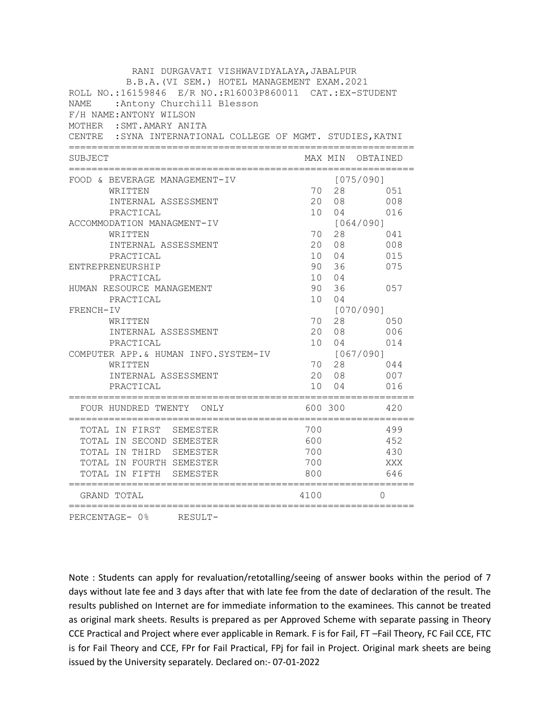| RANI DURGAVATI VISHWAVIDYALAYA, JABALPUR                                                 |      |         |                  |  |
|------------------------------------------------------------------------------------------|------|---------|------------------|--|
| B.B.A. (VI SEM.) HOTEL MANAGEMENT EXAM. 2021                                             |      |         |                  |  |
| ROLL NO.:16159846 E/R NO.:R16003P860011 CAT.:EX-STUDENT                                  |      |         |                  |  |
| :Antony Churchill Blesson<br>NAME                                                        |      |         |                  |  |
| F/H NAME: ANTONY WILSON                                                                  |      |         |                  |  |
| MOTHER : SMT. AMARY ANITA<br>CENTRE : SYNA INTERNATIONAL COLLEGE OF MGMT. STUDIES, KATNI |      |         |                  |  |
|                                                                                          |      |         |                  |  |
| SUBJECT                                                                                  |      | MAX MIN | OBTAINED         |  |
| FOOD & BEVERAGE MANAGEMENT-IV                                                            |      |         | [075/090]        |  |
| WRITTEN                                                                                  | 70   | 28      | 051              |  |
| INTERNAL ASSESSMENT                                                                      | 20   | 08      | 008              |  |
| PRACTICAL                                                                                | 10   | 04      | 016              |  |
| ACCOMMODATION MANAGMENT-IV                                                               |      |         | [064/090]        |  |
| WRITTEN                                                                                  | 70   | 28      | 041              |  |
| INTERNAL ASSESSMENT                                                                      | 20   | 08      | 008              |  |
| PRACTICAL                                                                                |      | 10 04   | 015              |  |
| ENTREPRENEURSHIP                                                                         | 90   | 36      | 075              |  |
| PRACTICAL                                                                                |      | 10 04   |                  |  |
| HUMAN RESOURCE MANAGEMENT                                                                | 90   | 36      | 057              |  |
| PRACTICAL                                                                                | 10   | 04      |                  |  |
| FRENCH-IV<br>WRITTEN                                                                     | 70   | 28      | [070/090]<br>050 |  |
| INTERNAL ASSESSMENT                                                                      | 20   | 08      | 006              |  |
| PRACTICAL                                                                                |      | 10 04   | 014              |  |
| COMPUTER APP.& HUMAN INFO.SYSTEM-IV                                                      |      |         | [067/090]        |  |
| WRITTEN                                                                                  | 70   | 28      | 044              |  |
| INTERNAL ASSESSMENT                                                                      |      | 20 08   | 007              |  |
| PRACTICAL                                                                                | 10   | 04      | 016              |  |
| FOUR HUNDRED TWENTY ONLY                                                                 |      | 600 300 | 420              |  |
| TOTAL IN FIRST SEMESTER                                                                  | 700  |         | 499              |  |
| TOTAL IN SECOND SEMESTER                                                                 | 600  |         | 452              |  |
| TOTAL IN THIRD SEMESTER                                                                  | 700  |         | 430              |  |
| TOTAL IN FOURTH SEMESTER                                                                 | 700  |         | XXX              |  |
| TOTAL IN FIFTH SEMESTER                                                                  | 800  |         | 646              |  |
| :===============<br>GRAND TOTAL                                                          | 4100 |         | $\Omega$         |  |

PERCENTAGE- 0% RESULT-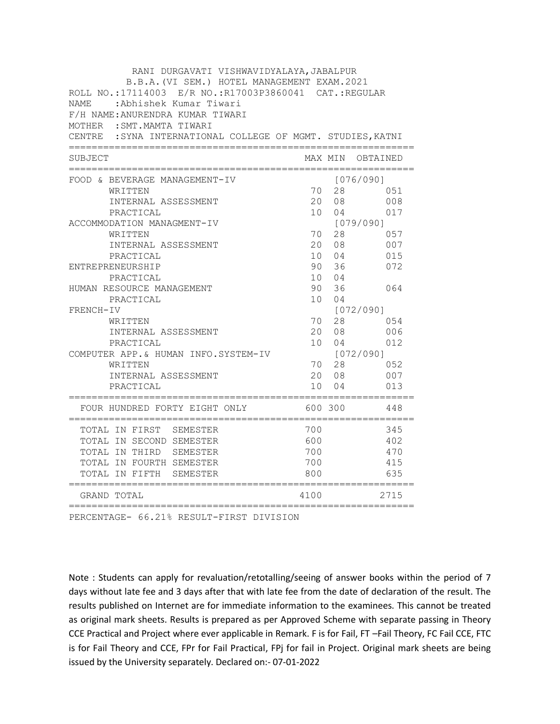| RANI DURGAVATI VISHWAVIDYALAYA, JABALPUR<br>B.B.A. (VI SEM.) HOTEL MANAGEMENT EXAM. 2021                                  |                 |         |                  |
|---------------------------------------------------------------------------------------------------------------------------|-----------------|---------|------------------|
| ROLL NO.:17114003 E/R NO.:R17003P3860041 CAT.:REGULAR<br>NAME : Abhishek Kumar Tiwari<br>F/H NAME: ANURENDRA KUMAR TIWARI |                 |         |                  |
| MOTHER : SMT. MAMTA TIWARI<br>CENTRE : SYNA INTERNATIONAL COLLEGE OF MGMT. STUDIES, KATNI                                 |                 |         |                  |
| SUBJECT                                                                                                                   |                 |         | MAX MIN OBTAINED |
| FOOD & BEVERAGE MANAGEMENT-IV                                                                                             |                 |         | [076/090]        |
| WRITTEN                                                                                                                   | 70              |         | 28<br>051        |
| INTERNAL ASSESSMENT                                                                                                       | 20              | 08      | 008              |
| PRACTICAL                                                                                                                 | 10 <sup>1</sup> | 04      | 017              |
| ACCOMMODATION MANAGMENT-IV                                                                                                |                 |         | [079/090]        |
| WRITTEN                                                                                                                   | 70              | 28      | 057              |
| INTERNAL ASSESSMENT                                                                                                       | 20              | 08      | 007              |
| PRACTICAL                                                                                                                 | 10              | 04      | 015              |
| ENTREPRENEURSHIP                                                                                                          | 90              | 36      | 072              |
| PRACTICAL                                                                                                                 |                 | 10 04   |                  |
| HUMAN RESOURCE MANAGEMENT                                                                                                 | 90              | 36      | 064              |
| PRACTICAL                                                                                                                 | 10              | 04      |                  |
| FRENCH-IV                                                                                                                 |                 |         | [072/090]        |
| WRITTEN                                                                                                                   | 70              | 28      | 054              |
| INTERNAL ASSESSMENT                                                                                                       | 20              | 08      | 006              |
| PRACTICAL                                                                                                                 | 10              | 04      | 012              |
| COMPUTER APP.& HUMAN INFO.SYSTEM-IV<br>WRITTEN                                                                            | 70              | 28      | [072/090]<br>052 |
| INTERNAL ASSESSMENT                                                                                                       | 20              | 08      | 007              |
| PRACTICAL                                                                                                                 | 10              | 04      | 013              |
|                                                                                                                           |                 |         |                  |
| FOUR HUNDRED FORTY EIGHT ONLY                                                                                             |                 | 600 300 | 448              |
| TOTAL IN FIRST SEMESTER                                                                                                   | 700             |         | 345              |
| TOTAL IN SECOND SEMESTER                                                                                                  | 600             |         | 402              |
| TOTAL IN THIRD SEMESTER                                                                                                   | 700             |         | 470              |
| TOTAL IN FOURTH SEMESTER                                                                                                  | 700             |         | 415              |
| TOTAL IN FIFTH<br>SEMESTER                                                                                                | 800             |         | 635              |
| ==========================<br>GRAND TOTAL                                                                                 | 4100            |         | 2715             |

PERCENTAGE- 66.21% RESULT-FIRST DIVISION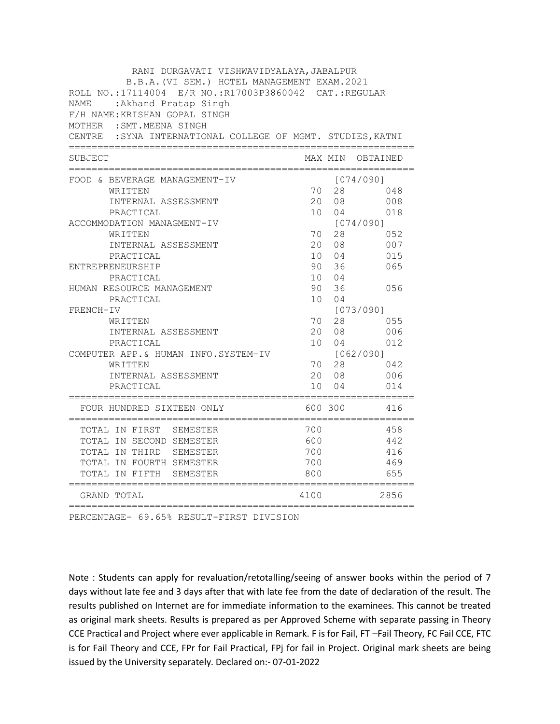| RANI DURGAVATI VISHWAVIDYALAYA, JABALPUR                    |                 |             |                  |
|-------------------------------------------------------------|-----------------|-------------|------------------|
| B.B.A. (VI SEM.) HOTEL MANAGEMENT EXAM. 2021                |                 |             |                  |
| ROLL NO.:17114004 E/R NO.:R17003P3860042 CAT.:REGULAR       |                 |             |                  |
| : Akhand Pratap Singh<br>NAME                               |                 |             |                  |
| F/H NAME: KRISHAN GOPAL SINGH                               |                 |             |                  |
| MOTHER : SMT. MEENA SINGH                                   |                 |             |                  |
| CENTRE : SYNA INTERNATIONAL COLLEGE OF MGMT. STUDIES, KATNI |                 |             |                  |
| SUBJECT                                                     |                 |             | MAX MIN OBTAINED |
| FOOD & BEVERAGE MANAGEMENT-IV                               |                 |             | [074/090]        |
| WRITTEN                                                     | 70              |             | 28 — 28<br>048   |
| INTERNAL ASSESSMENT                                         | 20              | 08          | 008              |
| PRACTICAL                                                   | 10 <sup>1</sup> | 04          | 018              |
| ACCOMMODATION MANAGMENT-IV                                  |                 |             | [074/090]        |
| WRITTEN                                                     | 70              | 28          | 052              |
| INTERNAL ASSESSMENT                                         |                 | 20 08       | 007              |
| PRACTICAL                                                   |                 | 10 04       | 015              |
| ENTREPRENEURSHIP                                            |                 | 90 36       | 065              |
| PRACTICAL                                                   |                 | 10 04       |                  |
| HUMAN RESOURCE MANAGEMENT                                   |                 | 90 36       | 056              |
| PRACTICAL                                                   |                 | 10 04       |                  |
| FRENCH-IV                                                   |                 |             | [073/090]        |
| WRITTEN<br>INTERNAL ASSESSMENT                              | 70              | 28<br>20 08 | 055<br>006       |
| PRACTICAL                                                   | 10              | 04          | 012              |
| COMPUTER APP.& HUMAN INFO.SYSTEM-IV                         |                 |             | [062/090]        |
| WRITTEN                                                     | 70              | 28          | 042              |
| INTERNAL ASSESSMENT                                         |                 | 20 08       | 006              |
| PRACTICAL                                                   | 10              | 04          | 014              |
| FOUR HUNDRED SIXTEEN ONLY                                   |                 | 600 300     | 416              |
| TOTAL IN FIRST SEMESTER                                     | 700             |             | 458              |
| TOTAL IN SECOND SEMESTER                                    | 600             |             | 442              |
| TOTAL IN THIRD SEMESTER                                     | 700             |             | 416              |
| TOTAL IN FOURTH SEMESTER                                    | 700             |             | 469              |
| TOTAL IN FIFTH<br>SEMESTER                                  | 800             |             | 655              |
| =========================<br>GRAND TOTAL                    | 4100            |             | 2856             |

PERCENTAGE- 69.65% RESULT-FIRST DIVISION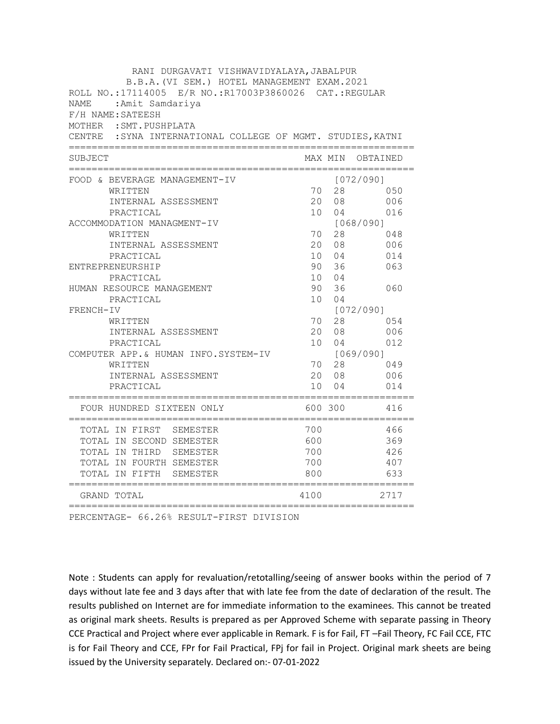| RANI DURGAVATI VISHWAVIDYALAYA, JABALPUR                                                              |                 |                |            |
|-------------------------------------------------------------------------------------------------------|-----------------|----------------|------------|
| B.B.A. (VI SEM.) HOTEL MANAGEMENT EXAM. 2021<br>ROLL NO.:17114005 E/R NO.:R17003P3860026 CAT.:REGULAR |                 |                |            |
| <b>NAME</b><br>:Amit Samdariya                                                                        |                 |                |            |
| F/H NAME: SATEESH                                                                                     |                 |                |            |
| MOTHER : SMT. PUSHPLATA                                                                               |                 |                |            |
| CENTRE : SYNA INTERNATIONAL COLLEGE OF MGMT. STUDIES, KATNI                                           |                 |                |            |
|                                                                                                       |                 |                |            |
| SUBJECT                                                                                               |                 | MAX MIN        | OBTAINED   |
| FOOD & BEVERAGE MANAGEMENT-IV                                                                         |                 |                | [072/090]  |
| WRITTEN                                                                                               | 70              | 28             | 050        |
| INTERNAL ASSESSMENT                                                                                   | 20              | 08             | 006        |
| PRACTICAL                                                                                             | 10 <sup>1</sup> | 04             | 016        |
| ACCOMMODATION MANAGMENT-IV                                                                            |                 |                | [068/090]  |
| WRITTEN                                                                                               | 70              | 28             | 048        |
| INTERNAL ASSESSMENT                                                                                   |                 | 20 08          | 006        |
| PRACTICAL                                                                                             |                 | 10 04          | 014        |
| ENTREPRENEURSHIP                                                                                      | 90              | 36             | 063        |
| PRACTICAL                                                                                             |                 | 10 04          |            |
| HUMAN RESOURCE MANAGEMENT                                                                             | 90              | 36             | 060        |
| PRACTICAL                                                                                             | 10              | 04             |            |
| FRENCH-IV                                                                                             |                 |                | [072/090]  |
| WRITTEN<br>INTERNAL ASSESSMENT                                                                        | 70              | 28<br>20 08    | 054<br>006 |
| PRACTICAL                                                                                             | 10              | 04             | 012        |
| COMPUTER APP.& HUMAN INFO.SYSTEM-IV                                                                   |                 |                | [069/090]  |
| WRITTEN                                                                                               | 70              | 28             | 049        |
| INTERNAL ASSESSMENT                                                                                   |                 | 20 08          | 006        |
| PRACTICAL                                                                                             | 10              | 0 <sub>4</sub> | 014        |
|                                                                                                       |                 |                |            |
| FOUR HUNDRED SIXTEEN ONLY                                                                             |                 | 600 300        | 416        |
| TOTAL IN FIRST SEMESTER                                                                               | 700             |                | 466        |
| TOTAL IN SECOND SEMESTER                                                                              | 600             |                | 369        |
| TOTAL IN THIRD SEMESTER                                                                               | 700             |                | 426        |
| TOTAL IN FOURTH SEMESTER                                                                              | 700             |                | 407        |
| TOTAL IN FIFTH SEMESTER                                                                               | 800             |                | 633        |
| ==============<br>GRAND TOTAL                                                                         | 4100            |                | 2717       |

PERCENTAGE- 66.26% RESULT-FIRST DIVISION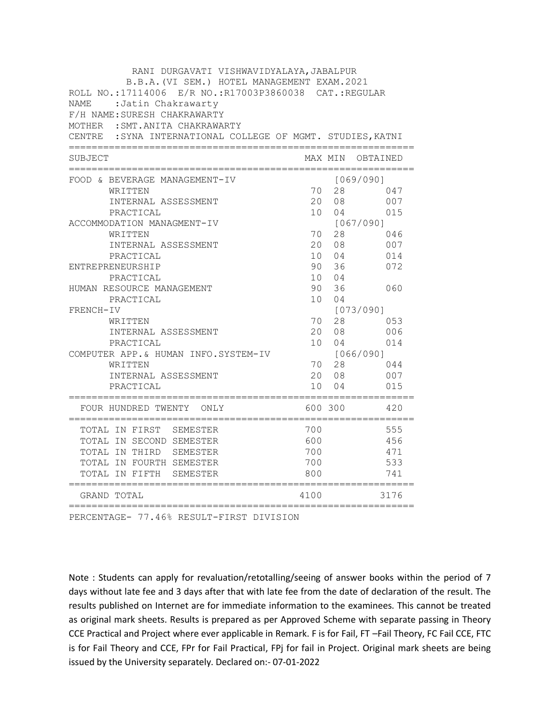| RANI DURGAVATI VISHWAVIDYALAYA, JABALPUR                    |                 |                |                                   |
|-------------------------------------------------------------|-----------------|----------------|-----------------------------------|
| B.B.A. (VI SEM.) HOTEL MANAGEMENT EXAM. 2021                |                 |                |                                   |
| ROLL NO.:17114006 E/R NO.:R17003P3860038 CAT.:REGULAR       |                 |                |                                   |
| : Jatin Chakrawarty<br>NAME                                 |                 |                |                                   |
| F/H NAME: SURESH CHAKRAWARTY                                |                 |                |                                   |
| MOTHER : SMT. ANITA CHAKRAWARTY                             |                 |                |                                   |
| CENTRE : SYNA INTERNATIONAL COLLEGE OF MGMT. STUDIES, KATNI |                 |                |                                   |
| SUBJECT                                                     |                 |                | MAX MIN OBTAINED                  |
|                                                             |                 |                |                                   |
| FOOD & BEVERAGE MANAGEMENT-IV<br>WRITTEN                    | 70              | 28             | [069/090]<br>047                  |
| INTERNAL ASSESSMENT                                         | 20              | 08             | 007                               |
| PRACTICAL                                                   | 10              | 04             | 015                               |
| ACCOMMODATION MANAGMENT-IV                                  |                 |                | [067/090]                         |
| WRITTEN                                                     | 70              | 28             | 046                               |
| INTERNAL ASSESSMENT                                         | 20              | 08             | 007                               |
| PRACTICAL                                                   | 10 <sup>1</sup> | 04             | 014                               |
| ENTREPRENEURSHIP                                            | 90              | 36             | 072                               |
| PRACTICAL                                                   | 10              | 04             |                                   |
| HUMAN RESOURCE MANAGEMENT                                   | 90              | 36             | 060                               |
| PRACTICAL                                                   | 10              | 0 <sub>4</sub> |                                   |
| FRENCH-IV                                                   |                 |                | [073/090]                         |
| WRITTEN                                                     | 70              | 28             | 053                               |
| INTERNAL ASSESSMENT                                         | 20              | 08             | 006                               |
| PRACTICAL                                                   | 10 <sup>1</sup> | 04             | 014                               |
| COMPUTER APP. & HUMAN INFO. SYSTEM-IV                       |                 |                | [066/090]                         |
| WRITTEN                                                     | 70              | 28             | 044                               |
| INTERNAL ASSESSMENT                                         | 20              | 08             | 007                               |
| PRACTICAL                                                   | 10              | 0 <sub>4</sub> | 015                               |
| ==============================<br>FOUR HUNDRED TWENTY ONLY  |                 | 600 300        | .=========================<br>420 |
| TOTAL IN FIRST SEMESTER                                     | 700             |                | 555                               |
| TOTAL IN SECOND SEMESTER                                    | 600             |                | 456                               |
| TOTAL IN THIRD SEMESTER                                     | 700             |                | 471                               |
| TOTAL IN FOURTH SEMESTER                                    | 700             |                | 533                               |
| TOTAL IN FIFTH<br>SEMESTER                                  | 800             |                | 741                               |
| ==========================<br>GRAND TOTAL                   | 4100            |                | 3176                              |

PERCENTAGE- 77.46% RESULT-FIRST DIVISION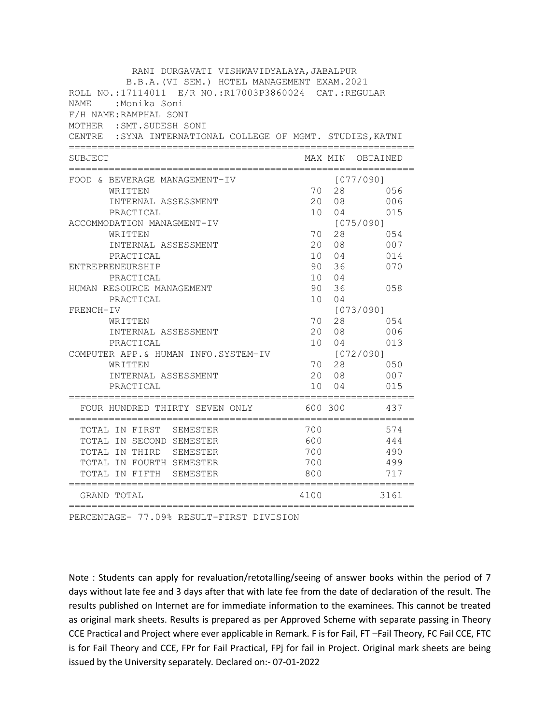| RANI DURGAVATI VISHWAVIDYALAYA, JABALPUR                                                 |                 |                |                  |
|------------------------------------------------------------------------------------------|-----------------|----------------|------------------|
| B.B.A. (VI SEM.) HOTEL MANAGEMENT EXAM. 2021                                             |                 |                |                  |
| ROLL NO.:17114011 E/R NO.:R17003P3860024 CAT.:REGULAR                                    |                 |                |                  |
| NAME<br>:Monika Soni                                                                     |                 |                |                  |
| F/H NAME: RAMPHAL SONI                                                                   |                 |                |                  |
| MOTHER : SMT. SUDESH SONI<br>CENTRE : SYNA INTERNATIONAL COLLEGE OF MGMT. STUDIES, KATNI |                 |                |                  |
|                                                                                          |                 |                |                  |
| SUBJECT                                                                                  |                 |                | MAX MIN OBTAINED |
| FOOD & BEVERAGE MANAGEMENT-IV                                                            |                 |                | [077/090]        |
| WRITTEN                                                                                  | 70              | 28             | 056              |
| INTERNAL ASSESSMENT                                                                      | 20              | 08             | 006              |
| PRACTICAL                                                                                | 10 <sup>1</sup> | 04             | 015              |
| ACCOMMODATION MANAGMENT-IV                                                               |                 |                | [075/090]        |
| WRITTEN                                                                                  | 70              | 28             | 054              |
| INTERNAL ASSESSMENT                                                                      | 20              | 08             | 007              |
| PRACTICAL                                                                                | 10              | 04             | 014              |
| ENTREPRENEURSHIP                                                                         | 90              | 36             | 070              |
| PRACTICAL                                                                                | 10 <sup>1</sup> | 04             |                  |
| HUMAN RESOURCE MANAGEMENT                                                                | 90              | 36             | 058              |
| PRACTICAL                                                                                | 10              | 0 <sub>4</sub> |                  |
| FRENCH-IV                                                                                |                 |                | [073/090]        |
| WRITTEN                                                                                  | 70              | 28             | 054              |
| INTERNAL ASSESSMENT                                                                      | 20              | 08             | 006              |
| PRACTICAL                                                                                | 10 <sup>1</sup> | 04             | 013              |
| COMPUTER APP.& HUMAN INFO.SYSTEM-IV                                                      |                 |                | [072/090]        |
| WRITTEN                                                                                  | 70              | 28             | 050              |
| INTERNAL ASSESSMENT                                                                      | 20              | 08             | 007              |
| PRACTICAL                                                                                | 10              | 04             | 015              |
| FOUR HUNDRED THIRTY SEVEN ONLY                                                           |                 | 600 300        | 437              |
| TOTAL IN FIRST SEMESTER                                                                  | 700             |                | 574              |
| TOTAL IN SECOND SEMESTER                                                                 | 600             |                | 444              |
| TOTAL IN THIRD SEMESTER                                                                  | 700             |                | 490              |
| TOTAL IN FOURTH SEMESTER                                                                 | 700             |                | 499              |
| TOTAL IN FIFTH<br>SEMESTER                                                               | 800             |                | 717              |
| ======================<br>GRAND TOTAL                                                    | 4100            |                | 3161             |

PERCENTAGE- 77.09% RESULT-FIRST DIVISION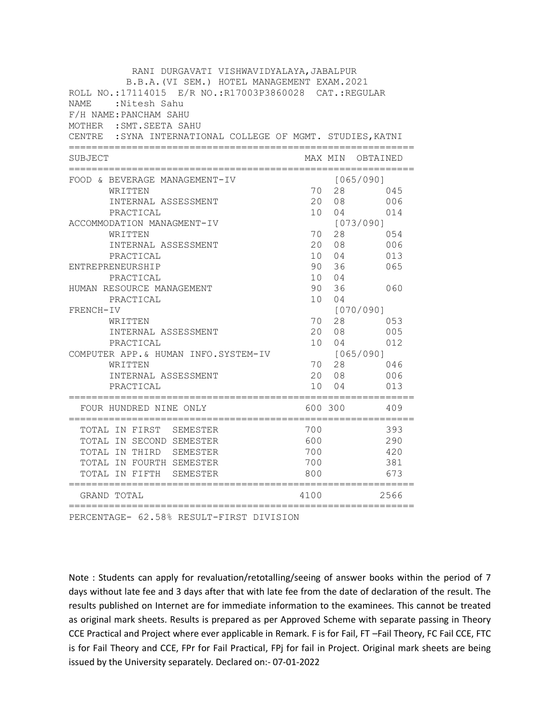| RANI DURGAVATI VISHWAVIDYALAYA, JABALPUR                                                              |                 |                |                  |
|-------------------------------------------------------------------------------------------------------|-----------------|----------------|------------------|
| B.B.A. (VI SEM.) HOTEL MANAGEMENT EXAM. 2021<br>ROLL NO.:17114015 E/R NO.:R17003P3860028 CAT.:REGULAR |                 |                |                  |
| NAME<br>:Nitesh Sahu                                                                                  |                 |                |                  |
| F/H NAME: PANCHAM SAHU                                                                                |                 |                |                  |
| MOTHER : SMT. SEETA SAHU                                                                              |                 |                |                  |
| CENTRE : SYNA INTERNATIONAL COLLEGE OF MGMT. STUDIES, KATNI                                           |                 |                |                  |
|                                                                                                       |                 |                |                  |
| SUBJECT                                                                                               |                 |                | MAX MIN OBTAINED |
| FOOD & BEVERAGE MANAGEMENT-IV                                                                         |                 |                | [065/090]        |
| WRITTEN                                                                                               | 70              | 28             | 045              |
| INTERNAL ASSESSMENT                                                                                   | 20              | 08             | 006              |
| PRACTICAL                                                                                             | 10 <sup>1</sup> | 04             | 014              |
| ACCOMMODATION MANAGMENT-IV                                                                            |                 |                | [073/090]        |
| WRITTEN                                                                                               | 70              | 28             | 054              |
| INTERNAL ASSESSMENT                                                                                   | 20              | 08             | 006              |
| PRACTICAL                                                                                             |                 | 10 04          | 013              |
| ENTREPRENEURSHIP                                                                                      | 90              | 36             | 065              |
| PRACTICAL                                                                                             |                 | 10 04          |                  |
| HUMAN RESOURCE MANAGEMENT                                                                             | 90              | 36<br>04       | 060              |
| PRACTICAL<br>FRENCH-IV                                                                                | 10              |                | [070/090]        |
| WRITTEN                                                                                               | 70              | 28             | 053              |
| INTERNAL ASSESSMENT                                                                                   | 20              | 08             | 005              |
| PRACTICAL                                                                                             | 10              | 04             | 012              |
| COMPUTER APP.& HUMAN INFO.SYSTEM-IV                                                                   |                 |                | [065/090]        |
| WRITTEN                                                                                               | 70              | 28             | 046              |
| INTERNAL ASSESSMENT                                                                                   | 20              | 08             | 006              |
| PRACTICAL                                                                                             | 10              | 0 <sub>4</sub> | 013              |
| FOUR HUNDRED NINE ONLY                                                                                |                 | 600 300        | 409              |
| TOTAL IN FIRST SEMESTER                                                                               | 700             |                | 393              |
| TOTAL IN SECOND SEMESTER                                                                              | 600             |                | 290              |
| TOTAL IN THIRD SEMESTER                                                                               | 700             |                | 420              |
| TOTAL IN FOURTH SEMESTER                                                                              | 700             |                | 381              |
| TOTAL IN FIFTH SEMESTER<br>=====================                                                      | 800             |                | 673              |
| GRAND TOTAL                                                                                           | 4100            |                | 2566             |

PERCENTAGE- 62.58% RESULT-FIRST DIVISION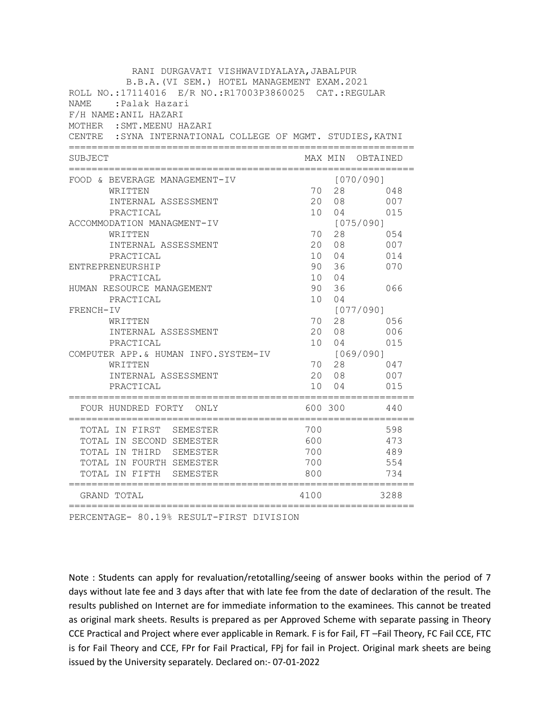| RANI DURGAVATI VISHWAVIDYALAYA, JABALPUR                                                              |                 |                |                            |
|-------------------------------------------------------------------------------------------------------|-----------------|----------------|----------------------------|
| B.B.A. (VI SEM.) HOTEL MANAGEMENT EXAM. 2021<br>ROLL NO.:17114016 E/R NO.:R17003P3860025 CAT.:REGULAR |                 |                |                            |
|                                                                                                       |                 |                |                            |
| <b>NAME</b><br>:Palak Hazari                                                                          |                 |                |                            |
| F/H NAME: ANIL HAZARI<br>MOTHER : SMT. MEENU HAZARI                                                   |                 |                |                            |
| CENTRE : SYNA INTERNATIONAL COLLEGE OF MGMT. STUDIES, KATNI                                           |                 |                |                            |
|                                                                                                       |                 |                |                            |
| SUBJECT                                                                                               |                 |                | MAX MIN OBTAINED           |
| FOOD & BEVERAGE MANAGEMENT-IV                                                                         |                 |                | [070/090]                  |
| WRITTEN                                                                                               | 70              | 28             | 048                        |
| INTERNAL ASSESSMENT                                                                                   | 20              | 08             | 007                        |
| PRACTICAL                                                                                             | 10 <sup>1</sup> | 04             | 015                        |
| ACCOMMODATION MANAGMENT-IV                                                                            |                 |                | [075/090]                  |
| WRITTEN                                                                                               | 70              | 28             | 054                        |
| INTERNAL ASSESSMENT                                                                                   | 20              | 08             | 007                        |
| PRACTICAL                                                                                             | 10              | 04             | 014                        |
| ENTREPRENEURSHIP                                                                                      | 90              | 36             | 070                        |
| PRACTICAL                                                                                             | 10 <sup>1</sup> | 04             |                            |
| HUMAN RESOURCE MANAGEMENT                                                                             | 90              | 36             | 066                        |
| PRACTICAL                                                                                             | 10              | 0 <sub>4</sub> |                            |
| FRENCH-IV                                                                                             |                 |                | [077/090]                  |
| WRITTEN                                                                                               | 70              | 28             | 056                        |
| INTERNAL ASSESSMENT                                                                                   | 20              | 08             | 006                        |
| PRACTICAL                                                                                             | 10              | 04             | 015                        |
| COMPUTER APP.& HUMAN INFO.SYSTEM-IV<br>WRITTEN                                                        | 70              | 28             | [069/090]<br>047           |
| INTERNAL ASSESSMENT                                                                                   | 20              | 08             | 007                        |
| PRACTICAL                                                                                             | 10              | 04             | 015                        |
| ;=================================                                                                    |                 |                | ========================== |
| FOUR HUNDRED FORTY ONLY                                                                               |                 | 600 300        | 440                        |
| TOTAL IN FIRST SEMESTER                                                                               | 700             |                | 598                        |
| TOTAL IN SECOND SEMESTER                                                                              | 600             |                | 473                        |
| TOTAL IN THIRD SEMESTER                                                                               | 700             |                | 489                        |
| TOTAL IN FOURTH SEMESTER                                                                              | 700             |                | 554                        |
| TOTAL IN FIFTH SEMESTER                                                                               | 800             |                | 734                        |
| =====================<br>GRAND TOTAL                                                                  | 4100            |                | 3288                       |

PERCENTAGE- 80.19% RESULT-FIRST DIVISION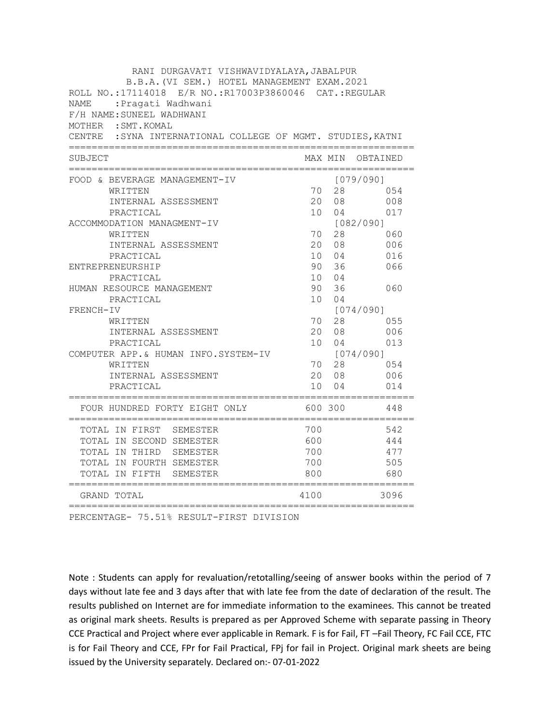| RANI DURGAVATI VISHWAVIDYALAYA, JABALPUR                    |      |             |            |
|-------------------------------------------------------------|------|-------------|------------|
| B.B.A. (VI SEM.) HOTEL MANAGEMENT EXAM. 2021                |      |             |            |
| ROLL NO.:17114018 E/R NO.:R17003P3860046 CAT.:REGULAR       |      |             |            |
| : Pragati Wadhwani<br>NAME                                  |      |             |            |
| F/H NAME: SUNEEL WADHWANI                                   |      |             |            |
| MOTHER : SMT. KOMAL                                         |      |             |            |
| CENTRE : SYNA INTERNATIONAL COLLEGE OF MGMT. STUDIES, KATNI |      |             |            |
| SUBJECT                                                     |      | MAX MIN     | OBTAINED   |
| FOOD & BEVERAGE MANAGEMENT-IV                               |      |             | [079/090]  |
| WRITTEN                                                     | 70   | 28          | 054        |
| INTERNAL ASSESSMENT                                         | 20   | 08          | 008        |
| PRACTICAL                                                   | 10   | 04          | 017        |
| ACCOMMODATION MANAGMENT-IV                                  |      |             | [082/090]  |
| WRITTEN                                                     |      | 70 28       | 060        |
| INTERNAL ASSESSMENT                                         |      | 20 08       | 006        |
| PRACTICAL                                                   |      | 10 04       | 016        |
| ENTREPRENEURSHIP                                            |      | 90 36       | 066        |
| PRACTICAL                                                   |      | 10 04       |            |
| HUMAN RESOURCE MANAGEMENT                                   |      | 90 36       | 060        |
| PRACTICAL                                                   |      | 10 04       |            |
| FRENCH-IV                                                   |      |             | [074/090]  |
| WRITTEN<br>INTERNAL ASSESSMENT                              | 70   | 28<br>20 08 | 055<br>006 |
| PRACTICAL                                                   |      | 10 04       | 013        |
| COMPUTER APP. & HUMAN INFO. SYSTEM-IV                       |      |             | [074/090]  |
| WRITTEN                                                     |      | 70 28       | 054        |
| INTERNAL ASSESSMENT                                         |      | 20 08       | 006        |
| PRACTICAL                                                   | 10   | 04          | 014        |
| FOUR HUNDRED FORTY EIGHT ONLY                               |      | 600 300     | 448        |
| TOTAL IN FIRST SEMESTER                                     | 700  |             | 542        |
| TOTAL IN SECOND SEMESTER                                    | 600  |             | 444        |
| TOTAL IN THIRD SEMESTER                                     | 700  |             | 477        |
| TOTAL IN FOURTH SEMESTER                                    | 700  |             | 505        |
| TOTAL IN FIFTH<br>SEMESTER                                  | 800  |             | 680        |
| ======================<br>GRAND TOTAL                       | 4100 |             | 3096       |

PERCENTAGE- 75.51% RESULT-FIRST DIVISION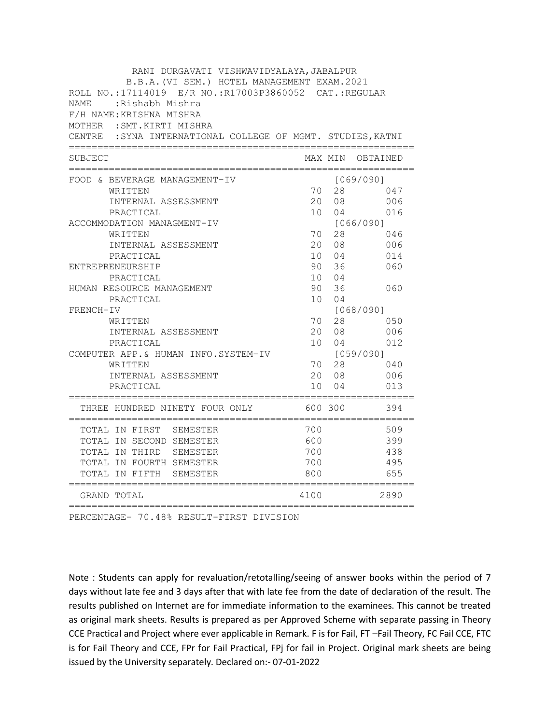| RANI DURGAVATI VISHWAVIDYALAYA, JABALPUR                                                              |                 |         |                  |
|-------------------------------------------------------------------------------------------------------|-----------------|---------|------------------|
| B.B.A. (VI SEM.) HOTEL MANAGEMENT EXAM. 2021<br>ROLL NO.:17114019 E/R NO.:R17003P3860052 CAT.:REGULAR |                 |         |                  |
|                                                                                                       |                 |         |                  |
| NAME<br>:Rishabh Mishra                                                                               |                 |         |                  |
| F/H NAME: KRISHNA MISHRA                                                                              |                 |         |                  |
| MOTHER : SMT. KIRTI MISHRA<br>CENTRE : SYNA INTERNATIONAL COLLEGE OF MGMT. STUDIES, KATNI             |                 |         |                  |
|                                                                                                       |                 |         |                  |
| SUBJECT                                                                                               |                 |         | MAX MIN OBTAINED |
| FOOD & BEVERAGE MANAGEMENT-IV                                                                         |                 |         | [069/090]        |
| WRITTEN                                                                                               | 70              | 28      | 047              |
| INTERNAL ASSESSMENT                                                                                   | 20              | 08      | 006              |
| PRACTICAL                                                                                             | 10 <sup>1</sup> | 04      | 016              |
| ACCOMMODATION MANAGMENT-IV                                                                            |                 |         | [066/090]        |
| WRITTEN                                                                                               | 70              | 28      | 046              |
| INTERNAL ASSESSMENT                                                                                   | 20              | 08      | 006              |
| PRACTICAL                                                                                             |                 | 10 04   | 014              |
| ENTREPRENEURSHIP                                                                                      | 90              | 36      | 060              |
| PRACTICAL                                                                                             |                 | 10 04   |                  |
| HUMAN RESOURCE MANAGEMENT                                                                             | 90              | 36      | 060              |
| PRACTICAL                                                                                             | 10              | 04      |                  |
| FRENCH-IV                                                                                             |                 | 28      | [068/090]<br>050 |
| WRITTEN<br>INTERNAL ASSESSMENT                                                                        | 70<br>20        | 08      | 006              |
| PRACTICAL                                                                                             | 10              | 04      | 012              |
| COMPUTER APP.& HUMAN INFO.SYSTEM-IV                                                                   |                 |         | [059/090]        |
| WRITTEN                                                                                               | 70              | 28      | 040              |
| INTERNAL ASSESSMENT                                                                                   | 20              | 08      | 006              |
| PRACTICAL                                                                                             | 10              | 04      | 013              |
| THREE HUNDRED NINETY FOUR ONLY                                                                        |                 | 600 300 | 394              |
| TOTAL IN FIRST SEMESTER                                                                               | 700             |         | 509              |
| TOTAL IN SECOND SEMESTER                                                                              | 600             |         | 399              |
| TOTAL IN THIRD SEMESTER                                                                               | 700             |         | 438              |
| TOTAL IN FOURTH SEMESTER                                                                              | 700             |         | 495              |
| TOTAL IN FIFTH SEMESTER<br>======================                                                     | 800             |         | 655              |
| GRAND TOTAL                                                                                           | 4100            |         | 2890             |

PERCENTAGE- 70.48% RESULT-FIRST DIVISION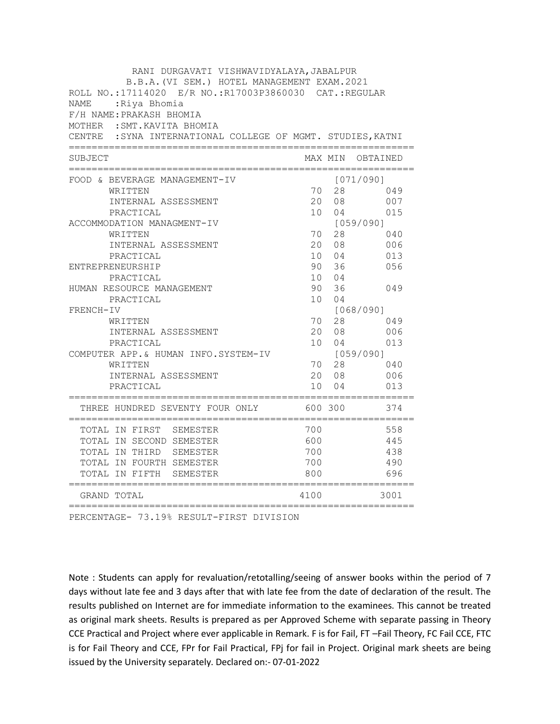| RANI DURGAVATI VISHWAVIDYALAYA, JABALPUR                                                   |                 |                |                  |
|--------------------------------------------------------------------------------------------|-----------------|----------------|------------------|
| B.B.A. (VI SEM.) HOTEL MANAGEMENT EXAM. 2021                                               |                 |                |                  |
| ROLL NO.:17114020 E/R NO.:R17003P3860030 CAT.:REGULAR                                      |                 |                |                  |
| <b>NAME</b><br>:Riya Bhomia                                                                |                 |                |                  |
| F/H NAME: PRAKASH BHOMIA                                                                   |                 |                |                  |
| MOTHER : SMT. KAVITA BHOMIA<br>CENTRE : SYNA INTERNATIONAL COLLEGE OF MGMT. STUDIES, KATNI |                 |                |                  |
|                                                                                            |                 |                |                  |
| SUBJECT                                                                                    |                 |                | MAX MIN OBTAINED |
| FOOD & BEVERAGE MANAGEMENT-IV                                                              |                 |                | [071/090]        |
| WRITTEN                                                                                    | 70              | 28             | 049              |
| INTERNAL ASSESSMENT                                                                        | 20              | 08             | 007              |
| PRACTICAL                                                                                  | 10 <sup>1</sup> | 04             | 015              |
| ACCOMMODATION MANAGMENT-IV                                                                 |                 |                | [059/090]        |
| WRITTEN                                                                                    | 70              | 28             | 040              |
| INTERNAL ASSESSMENT                                                                        | 20              | 08             | 006              |
| PRACTICAL                                                                                  | 10              | 04             | 013              |
| ENTREPRENEURSHIP                                                                           | 90              | 36             | 056              |
| PRACTICAL                                                                                  | 10 <sup>1</sup> | 04             |                  |
| HUMAN RESOURCE MANAGEMENT                                                                  | 90              | 36             | 049              |
| PRACTICAL                                                                                  | 10              | 04             |                  |
| FRENCH-IV                                                                                  |                 |                | [068/090]        |
| WRITTEN                                                                                    | 70              | 28             | 049              |
| INTERNAL ASSESSMENT                                                                        | 20              | 08             | 006              |
| PRACTICAL                                                                                  | 10              | 04             | 013              |
| COMPUTER APP.& HUMAN INFO.SYSTEM-IV                                                        |                 |                | [059/090]        |
| WRITTEN                                                                                    | 70              | 28             | 040              |
| INTERNAL ASSESSMENT                                                                        | 20<br>10        | 08             | 006              |
| PRACTICAL                                                                                  |                 | 0 <sub>4</sub> | 013              |
| THREE HUNDRED SEVENTY FOUR ONLY                                                            |                 | 600 300        | 374              |
| TOTAL IN FIRST SEMESTER                                                                    | 700             |                | 558              |
| TOTAL IN SECOND SEMESTER                                                                   | 600             |                | 445              |
| TOTAL IN THIRD SEMESTER                                                                    | 700             |                | 438              |
| TOTAL IN FOURTH SEMESTER                                                                   | 700             |                | 490              |
| TOTAL IN FIFTH<br>SEMESTER                                                                 | 800             |                | 696              |
| =====================<br>GRAND TOTAL                                                       | 4100            |                | 3001             |

PERCENTAGE- 73.19% RESULT-FIRST DIVISION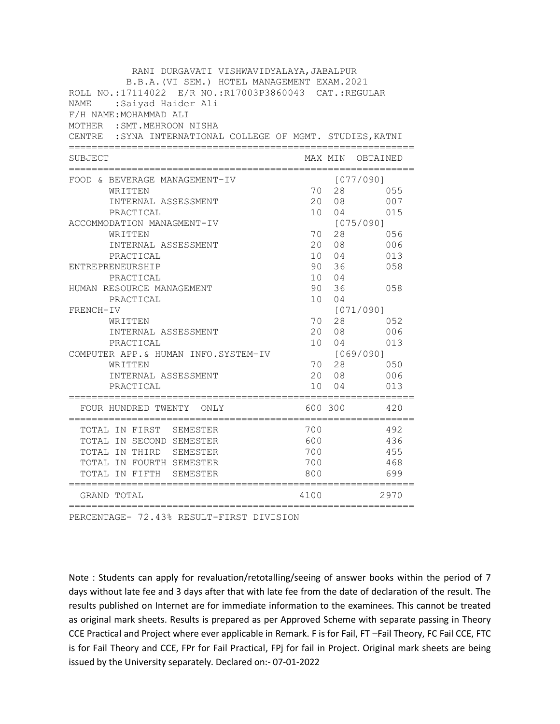| RANI DURGAVATI VISHWAVIDYALAYA, JABALPUR                                                              |                 |                      |            |
|-------------------------------------------------------------------------------------------------------|-----------------|----------------------|------------|
| B.B.A. (VI SEM.) HOTEL MANAGEMENT EXAM. 2021<br>ROLL NO.:17114022 E/R NO.:R17003P3860043 CAT.:REGULAR |                 |                      |            |
| :Saiyad Haider Ali<br><b>NAME</b>                                                                     |                 |                      |            |
| F/H NAME: MOHAMMAD ALI                                                                                |                 |                      |            |
| MOTHER : SMT. MEHROON NISHA                                                                           |                 |                      |            |
| CENTRE : SYNA INTERNATIONAL COLLEGE OF MGMT. STUDIES, KATNI                                           |                 |                      |            |
| SUBJECT                                                                                               |                 | MAX MIN              | OBTAINED   |
| FOOD & BEVERAGE MANAGEMENT-IV                                                                         |                 |                      | [077/090]  |
| WRITTEN                                                                                               | 70              | 28                   | 055        |
| INTERNAL ASSESSMENT                                                                                   | 20              | 08                   | 007        |
| PRACTICAL                                                                                             | 10 <sup>1</sup> | 04                   | 015        |
| ACCOMMODATION MANAGMENT-IV                                                                            |                 |                      | [075/090]  |
| WRITTEN                                                                                               | 70<br>20        | 28                   | 056        |
| INTERNAL ASSESSMENT<br>PRACTICAL                                                                      | 10              | 08<br>04             | 006<br>013 |
| ENTREPRENEURSHIP                                                                                      | 90              | 36                   | 058        |
| PRACTICAL                                                                                             | 10 <sup>1</sup> | 04                   |            |
| HUMAN RESOURCE MANAGEMENT                                                                             | 90              | 36                   | 058        |
| PRACTICAL                                                                                             | 10              | 04                   |            |
| FRENCH-IV                                                                                             |                 |                      | [071/090]  |
| WRITTEN                                                                                               | 70              | 28                   | 052        |
| INTERNAL ASSESSMENT                                                                                   | 20              | 08                   | 006        |
| PRACTICAL                                                                                             | 10 <sup>1</sup> | 04                   | 013        |
| COMPUTER APP. & HUMAN INFO.SYSTEM-IV                                                                  |                 |                      | [069/090]  |
| WRITTEN                                                                                               | 70              | 28                   | 050        |
| INTERNAL ASSESSMENT<br>PRACTICAL                                                                      | 20<br>10        | 08<br>0 <sub>4</sub> | 006<br>013 |
|                                                                                                       |                 |                      |            |
| FOUR HUNDRED TWENTY ONLY                                                                              |                 | 600 300              | 420        |
| TOTAL IN FIRST SEMESTER                                                                               | 700             |                      | 492        |
| TOTAL IN SECOND SEMESTER                                                                              | 600             |                      | 436        |
| TOTAL IN THIRD SEMESTER                                                                               | 700             |                      | 455        |
| TOTAL IN FOURTH SEMESTER                                                                              | 700             |                      | 468        |
| TOTAL IN FIFTH<br>SEMESTER<br>:====================                                                   | 800             |                      | 699        |
| GRAND TOTAL                                                                                           | 4100            |                      | 2970       |

PERCENTAGE- 72.43% RESULT-FIRST DIVISION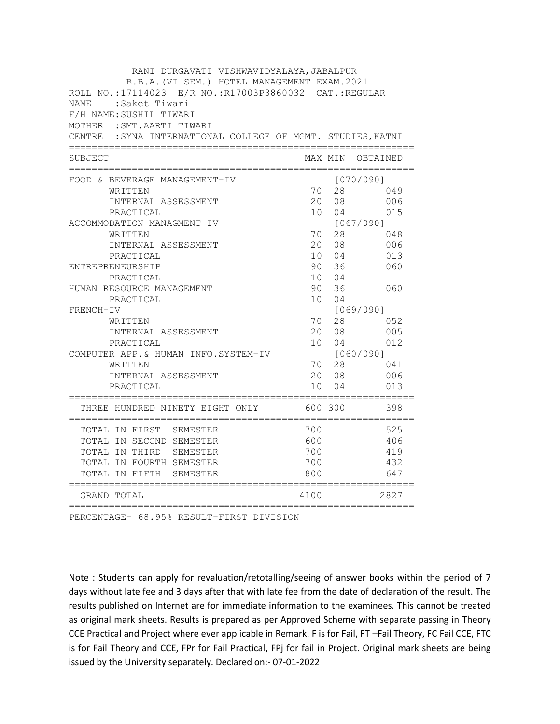| RANI DURGAVATI VISHWAVIDYALAYA, JABALPUR                                                              |                 |                      |                  |
|-------------------------------------------------------------------------------------------------------|-----------------|----------------------|------------------|
| B.B.A. (VI SEM.) HOTEL MANAGEMENT EXAM. 2021<br>ROLL NO.:17114023 E/R NO.:R17003P3860032 CAT.:REGULAR |                 |                      |                  |
| <b>NAME</b><br>:Saket Tiwari                                                                          |                 |                      |                  |
| F/H NAME: SUSHIL TIWARI                                                                               |                 |                      |                  |
| MOTHER : SMT. AARTI TIWARI                                                                            |                 |                      |                  |
| CENTRE : SYNA INTERNATIONAL COLLEGE OF MGMT. STUDIES, KATNI                                           |                 |                      |                  |
| SUBJECT                                                                                               |                 |                      | MAX MIN OBTAINED |
| FOOD & BEVERAGE MANAGEMENT-IV                                                                         |                 |                      | [070/090]        |
| WRITTEN                                                                                               | 70              | 28                   | 049              |
| INTERNAL ASSESSMENT                                                                                   | 20              | 08                   | 006              |
| PRACTICAL                                                                                             | 10 <sup>1</sup> | 04                   | 015              |
| ACCOMMODATION MANAGMENT-IV                                                                            |                 |                      | [067/090]        |
| WRITTEN                                                                                               | 70              | 28                   | 048              |
| INTERNAL ASSESSMENT                                                                                   | 20              | 08                   | 006              |
| PRACTICAL                                                                                             | 10              | 04                   | 013              |
| ENTREPRENEURSHIP                                                                                      | 90              | 36                   | 060              |
| PRACTICAL                                                                                             | 10 <sup>1</sup> | 04                   |                  |
| HUMAN RESOURCE MANAGEMENT<br>PRACTICAL                                                                | 90<br>10        | 36<br>0 <sub>4</sub> | 060              |
| FRENCH-IV                                                                                             |                 |                      | [069/090]        |
| WRITTEN                                                                                               | 70              | 28                   | 052              |
| INTERNAL ASSESSMENT                                                                                   | 20              | 08                   | 005              |
| PRACTICAL                                                                                             | 10 <sup>1</sup> | 04                   | 012              |
| COMPUTER APP.& HUMAN INFO.SYSTEM-IV                                                                   |                 |                      | [060/090]        |
| WRITTEN                                                                                               | 70              | 28                   | 041              |
| INTERNAL ASSESSMENT                                                                                   | 20              | 08                   | 006              |
| PRACTICAL                                                                                             | 10              | 04                   | 013              |
| THREE HUNDRED NINETY EIGHT ONLY                                                                       |                 | 600 300              | 398              |
| TOTAL IN FIRST SEMESTER                                                                               | 700             |                      | 525              |
| TOTAL IN SECOND SEMESTER                                                                              | 600             |                      | 406              |
| TOTAL IN THIRD SEMESTER                                                                               | 700             |                      | 419              |
| TOTAL IN FOURTH SEMESTER                                                                              | 700             |                      | 432              |
| TOTAL IN FIFTH SEMESTER<br>=====================                                                      | 800             |                      | 647              |
| GRAND TOTAL                                                                                           | 4100            |                      | 2827             |

PERCENTAGE- 68.95% RESULT-FIRST DIVISION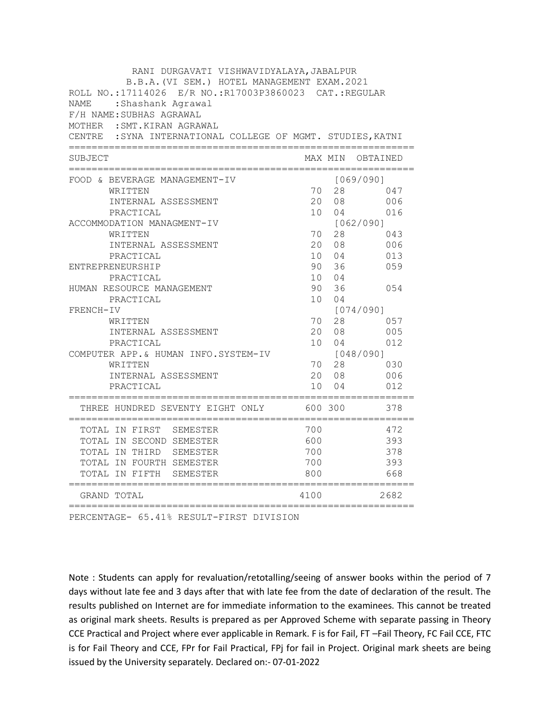| RANI DURGAVATI VISHWAVIDYALAYA, JABALPUR                    |                 |         |           |
|-------------------------------------------------------------|-----------------|---------|-----------|
| B.B.A. (VI SEM.) HOTEL MANAGEMENT EXAM. 2021                |                 |         |           |
| ROLL NO.:17114026 E/R NO.:R17003P3860023 CAT.:REGULAR       |                 |         |           |
| NAME<br>:Shashank Agrawal                                   |                 |         |           |
| F/H NAME: SUBHAS AGRAWAL                                    |                 |         |           |
| MOTHER : SMT. KIRAN AGRAWAL                                 |                 |         |           |
| CENTRE : SYNA INTERNATIONAL COLLEGE OF MGMT. STUDIES, KATNI |                 |         |           |
| SUBJECT                                                     |                 | MAX MIN | OBTAINED  |
| FOOD & BEVERAGE MANAGEMENT-IV                               |                 |         | [069/090] |
| WRITTEN                                                     | 70              | 28      | 047       |
| INTERNAL ASSESSMENT                                         | 20              | 08      | 006       |
| PRACTICAL                                                   | 10              | 04      | 016       |
| ACCOMMODATION MANAGMENT-IV                                  |                 |         | [062/090] |
| WRITTEN                                                     | 70              | 28      | 043       |
| INTERNAL ASSESSMENT                                         | 20              | 08      | 006       |
| PRACTICAL                                                   | 10              | 04      | 013       |
| ENTREPRENEURSHIP                                            | 90              | 36      | 059       |
| PRACTICAL                                                   | 10 <sup>1</sup> | 04      |           |
| HUMAN RESOURCE MANAGEMENT                                   | 90              | 36      | 0.54      |
| PRACTICAL                                                   | 10              | 04      |           |
| FRENCH-IV                                                   |                 |         | [074/090] |
| WRITTEN                                                     | 70              | 28      | 057       |
| INTERNAL ASSESSMENT                                         | $20 -$          | 08      | 005       |
| PRACTICAL                                                   | 10              | 04      | 012       |
| COMPUTER APP. & HUMAN INFO. SYSTEM-IV                       |                 |         | [048/090] |
| WRITTEN                                                     | 70              | 28      | 030       |
| INTERNAL ASSESSMENT                                         | 20              | 08      | 006       |
| PRACTICAL                                                   | 10              | 04      | 012       |
| THREE HUNDRED SEVENTY EIGHT ONLY                            |                 | 600 300 | 378       |
| TOTAL IN FIRST SEMESTER                                     | 700             |         | 472       |
| TOTAL IN SECOND SEMESTER                                    | 600             |         | 393       |
| TOTAL IN THIRD SEMESTER                                     | 700             |         | 378       |
| TOTAL IN FOURTH SEMESTER                                    | 700             |         | 393       |
| TOTAL IN FIFTH<br>SEMESTER                                  | 800             |         | 668       |
| =========================<br>GRAND TOTAL                    | 4100            |         | 2682      |

PERCENTAGE- 65.41% RESULT-FIRST DIVISION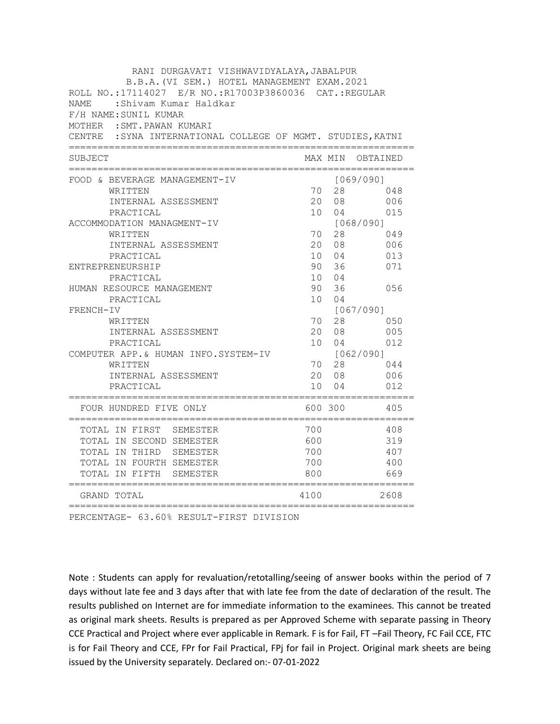| RANI DURGAVATI VISHWAVIDYALAYA, JABALPUR                                                              |                 |             |                                     |
|-------------------------------------------------------------------------------------------------------|-----------------|-------------|-------------------------------------|
| B.B.A. (VI SEM.) HOTEL MANAGEMENT EXAM. 2021<br>ROLL NO.:17114027 E/R NO.:R17003P3860036 CAT.:REGULAR |                 |             |                                     |
| <b>NAME</b><br>:Shivam Kumar Haldkar                                                                  |                 |             |                                     |
| F/H NAME: SUNIL KUMAR                                                                                 |                 |             |                                     |
| MOTHER : SMT. PAWAN KUMARI                                                                            |                 |             |                                     |
| CENTRE : SYNA INTERNATIONAL COLLEGE OF MGMT. STUDIES, KATNI                                           |                 |             |                                     |
| SUBJECT                                                                                               |                 | MAX MIN     | OBTAINED                            |
| FOOD & BEVERAGE MANAGEMENT-IV                                                                         |                 |             | [069/090]                           |
| WRITTEN                                                                                               | 70              | 28          | 048                                 |
| INTERNAL ASSESSMENT                                                                                   | 20              | 08          | 006                                 |
| PRACTICAL                                                                                             | 10 <sup>1</sup> | 04          | 015                                 |
| ACCOMMODATION MANAGMENT-IV                                                                            |                 |             | [068/090]                           |
| WRITTEN                                                                                               | 70              | 28          | 049                                 |
| INTERNAL ASSESSMENT                                                                                   |                 | 20 08       | 006                                 |
| PRACTICAL                                                                                             |                 | 10 04       | 013                                 |
| ENTREPRENEURSHIP                                                                                      | 90              | 36          | 071                                 |
| PRACTICAL                                                                                             |                 | 10 04       |                                     |
| HUMAN RESOURCE MANAGEMENT                                                                             | 90              | 36          | 056                                 |
| PRACTICAL                                                                                             | 10              | 04          |                                     |
| FRENCH-IV                                                                                             |                 |             | [067/090]                           |
| WRITTEN<br>INTERNAL ASSESSMENT                                                                        | 70              | 28<br>20 08 | 050<br>005                          |
| PRACTICAL                                                                                             |                 | 10 04       | 012                                 |
| COMPUTER APP.& HUMAN INFO.SYSTEM-IV                                                                   |                 |             | [062/090]                           |
| WRITTEN                                                                                               | 70              | 28          | 044                                 |
| INTERNAL ASSESSMENT                                                                                   |                 | 20 08       | 006                                 |
| PRACTICAL                                                                                             | 10              | 04          | 012                                 |
| ==================================<br>FOUR HUNDRED FIVE ONLY                                          |                 | 600 300     | ----------------------------<br>405 |
| TOTAL IN FIRST SEMESTER                                                                               | 700             |             | 408                                 |
| TOTAL IN SECOND SEMESTER                                                                              | 600             |             | 319                                 |
| TOTAL IN THIRD SEMESTER                                                                               | 700             |             | 407                                 |
| TOTAL IN FOURTH SEMESTER                                                                              | 700             |             | 400                                 |
| TOTAL IN FIFTH<br>SEMESTER<br>=====================                                                   | 800             |             | 669                                 |
| GRAND TOTAL                                                                                           | 4100            |             | 2608                                |

PERCENTAGE- 63.60% RESULT-FIRST DIVISION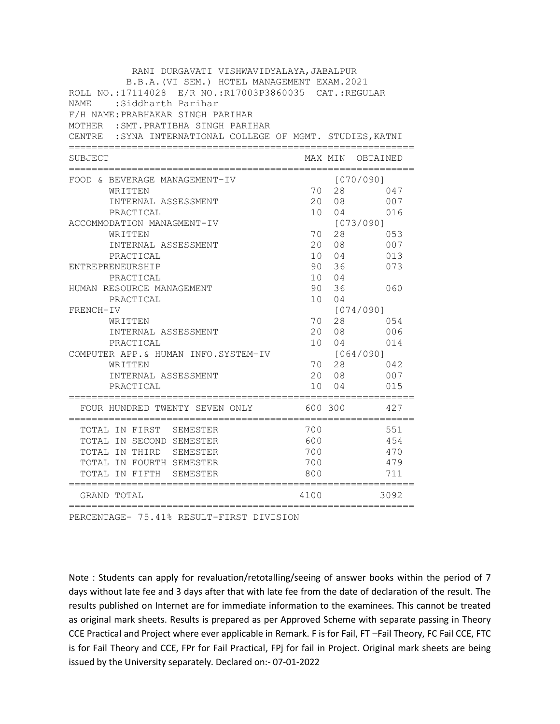| RANI DURGAVATI VISHWAVIDYALAYA, JABALPUR                                                              |                 |                |                  |
|-------------------------------------------------------------------------------------------------------|-----------------|----------------|------------------|
| B.B.A. (VI SEM.) HOTEL MANAGEMENT EXAM. 2021<br>ROLL NO.:17114028 E/R NO.:R17003P3860035 CAT.:REGULAR |                 |                |                  |
| NAME<br>:Siddharth Parihar                                                                            |                 |                |                  |
| F/H NAME: PRABHAKAR SINGH PARIHAR                                                                     |                 |                |                  |
| MOTHER : SMT. PRATIBHA SINGH PARIHAR                                                                  |                 |                |                  |
| CENTRE : SYNA INTERNATIONAL COLLEGE OF MGMT. STUDIES, KATNI                                           |                 |                |                  |
|                                                                                                       |                 |                |                  |
| SUBJECT                                                                                               |                 |                | MAX MIN OBTAINED |
| FOOD & BEVERAGE MANAGEMENT-IV                                                                         |                 |                | [070/090]        |
| WRITTEN                                                                                               | 70              | 28             | 047              |
| INTERNAL ASSESSMENT                                                                                   | 20              | 08             | 007              |
| PRACTICAL                                                                                             | 10 <sup>1</sup> | 04             | 016              |
| ACCOMMODATION MANAGMENT-IV                                                                            |                 |                | [073/090]        |
| WRITTEN                                                                                               | 70              | 28             | 053              |
| INTERNAL ASSESSMENT                                                                                   | 20              | 08             | 007              |
| PRACTICAL                                                                                             | 10              | 04             | 013              |
| ENTREPRENEURSHIP                                                                                      | 90              | 36             | 073              |
| PRACTICAL                                                                                             | 10 <sup>1</sup> | 04             |                  |
| HUMAN RESOURCE MANAGEMENT                                                                             | 90              | 36<br>04       | 060              |
| PRACTICAL<br>FRENCH-IV                                                                                | 10              |                | [074/090]        |
| WRITTEN                                                                                               | 70              | 28             | 054              |
| INTERNAL ASSESSMENT                                                                                   | 20              | 08             | 006              |
| PRACTICAL                                                                                             | 10 <sup>1</sup> | 04             | 014              |
| COMPUTER APP.& HUMAN INFO.SYSTEM-IV                                                                   |                 |                | [064/090]        |
| WRITTEN                                                                                               | 70              | 28             | 042              |
| INTERNAL ASSESSMENT                                                                                   | 20              | 08             | 007              |
| PRACTICAL                                                                                             | 10              | 0 <sub>4</sub> | 015              |
| FOUR HUNDRED TWENTY SEVEN ONLY                                                                        |                 | 600 300        | 427              |
| TOTAL IN FIRST SEMESTER                                                                               | 700             |                | 551              |
| TOTAL IN SECOND SEMESTER                                                                              | 600             |                | 454              |
| TOTAL IN THIRD SEMESTER                                                                               | 700             |                | 470              |
| TOTAL IN FOURTH SEMESTER                                                                              | 700             |                | 479              |
| TOTAL IN FIFTH<br>SEMESTER<br>=====================                                                   | 800             |                | 711              |
| GRAND TOTAL                                                                                           | 4100            |                | 3092             |

PERCENTAGE- 75.41% RESULT-FIRST DIVISION